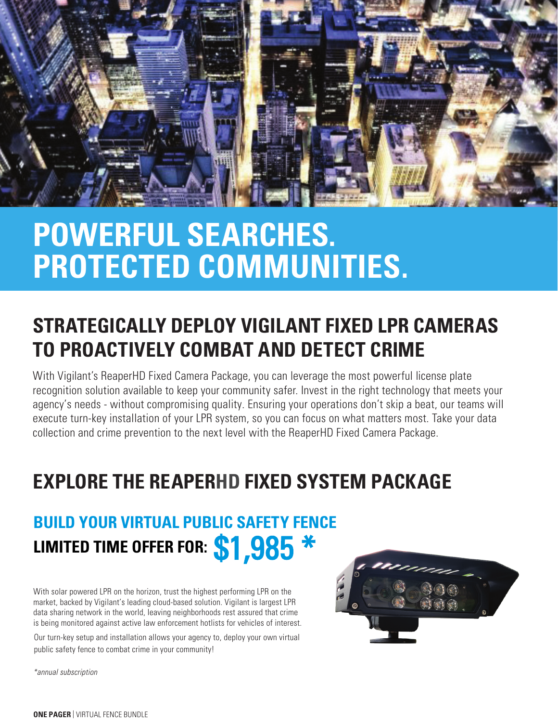

# **POWERFUL SEARCHES. PROTECTED COMMUNITIES.**

## **STRATEGICALLY DEPLOY VIGILANT FIXED LPR CAMERAS TO PROACTIVELY COMBAT AND DETECT CRIME**

With Vigilant's ReaperHD Fixed Camera Package, you can leverage the most powerful license plate recognition solution available to keep your community safer. Invest in the right technology that meets your agency's needs - without compromising quality. Ensuring your operations don't skip a beat, our teams will execute turn-key installation of your LPR system, so you can focus on what matters most. Take your data collection and crime prevention to the next level with the ReaperHD Fixed Camera Package.

## **EXPLORE THE REAPERHD FIXED SYSTEM PACKAGE**

## **BUILD YOUR VIRTUAL PUBLIC SAFETY FENCE** LIMITED TIME OFFER FOR: <mark>\$1,985 \*</mark>

With solar powered LPR on the horizon, trust the highest performing LPR on the market, backed by Vigilant's leading cloud-based solution. Vigilant is largest LPR data sharing network in the world, leaving neighborhoods rest assured that crime is being monitored against active law enforcement hotlists for vehicles of interest.

Our turn-key setup and installation allows your agency to, deploy your own virtual public safety fence to combat crime in your community!



\*annual subscription